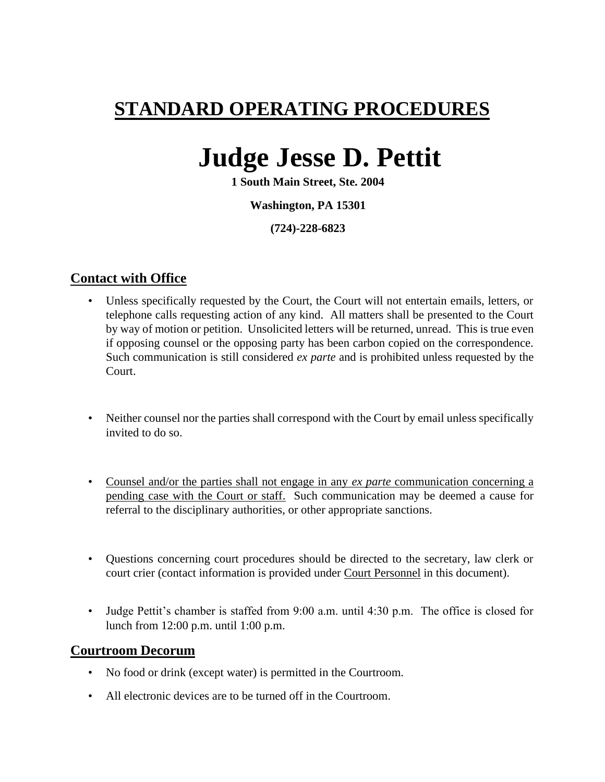# **STANDARD OPERATING PROCEDURES**

# **Judge Jesse D. Pettit**

**1 South Main Street, Ste. 2004**

#### **Washington, PA 15301**

**(724)-228-6823**

### **Contact with Office**

- Unless specifically requested by the Court, the Court will not entertain emails, letters, or telephone calls requesting action of any kind. All matters shall be presented to the Court by way of motion or petition. Unsolicited letters will be returned, unread. This is true even if opposing counsel or the opposing party has been carbon copied on the correspondence. Such communication is still considered *ex parte* and is prohibited unless requested by the Court.
- Neither counsel nor the parties shall correspond with the Court by email unless specifically invited to do so.
- Counsel and/or the parties shall not engage in any *ex parte* communication concerning a pending case with the Court or staff. Such communication may be deemed a cause for referral to the disciplinary authorities, or other appropriate sanctions.
- Questions concerning court procedures should be directed to the secretary, law clerk or court crier (contact information is provided under Court Personnel in this document).
- Judge Pettit's chamber is staffed from 9:00 a.m. until 4:30 p.m. The office is closed for lunch from 12:00 p.m. until 1:00 p.m.

#### **Courtroom Decorum**

- No food or drink (except water) is permitted in the Courtroom.
- All electronic devices are to be turned off in the Courtroom.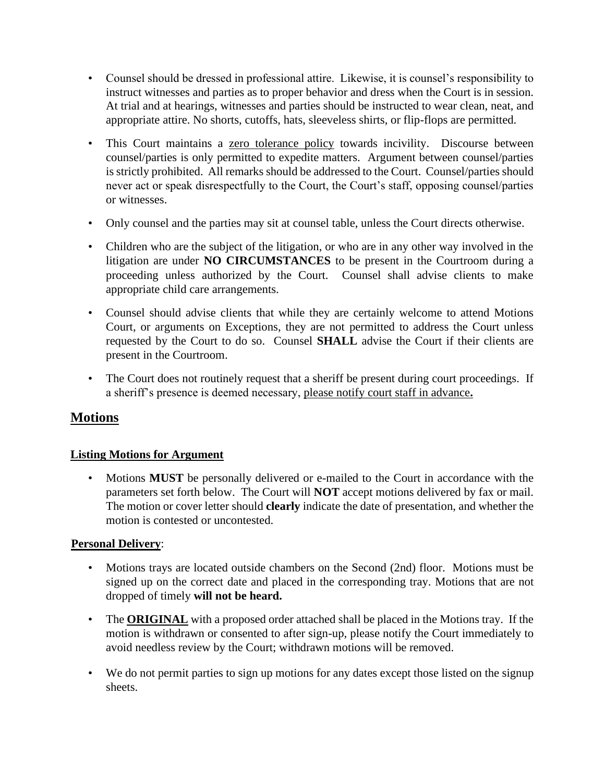- Counsel should be dressed in professional attire. Likewise, it is counsel's responsibility to instruct witnesses and parties as to proper behavior and dress when the Court is in session. At trial and at hearings, witnesses and parties should be instructed to wear clean, neat, and appropriate attire. No shorts, cutoffs, hats, sleeveless shirts, or flip-flops are permitted.
- This Court maintains a zero tolerance policy towards incivility. Discourse between counsel/parties is only permitted to expedite matters. Argument between counsel/parties is strictly prohibited. All remarks should be addressed to the Court. Counsel/parties should never act or speak disrespectfully to the Court, the Court's staff, opposing counsel/parties or witnesses.
- Only counsel and the parties may sit at counsel table, unless the Court directs otherwise.
- Children who are the subject of the litigation, or who are in any other way involved in the litigation are under **NO CIRCUMSTANCES** to be present in the Courtroom during a proceeding unless authorized by the Court. Counsel shall advise clients to make appropriate child care arrangements.
- Counsel should advise clients that while they are certainly welcome to attend Motions Court, or arguments on Exceptions, they are not permitted to address the Court unless requested by the Court to do so. Counsel **SHALL** advise the Court if their clients are present in the Courtroom.
- The Court does not routinely request that a sheriff be present during court proceedings. If a sheriff's presence is deemed necessary, please notify court staff in advance**.**

# **Motions**

#### **Listing Motions for Argument**

• Motions **MUST** be personally delivered or e-mailed to the Court in accordance with the parameters set forth below. The Court will **NOT** accept motions delivered by fax or mail. The motion or cover letter should **clearly** indicate the date of presentation, and whether the motion is contested or uncontested.

#### **Personal Delivery**:

- Motions trays are located outside chambers on the Second (2nd) floor. Motions must be signed up on the correct date and placed in the corresponding tray. Motions that are not dropped of timely **will not be heard.**
- The **ORIGINAL** with a proposed order attached shall be placed in the Motions tray. If the motion is withdrawn or consented to after sign-up, please notify the Court immediately to avoid needless review by the Court; withdrawn motions will be removed.
- We do not permit parties to sign up motions for any dates except those listed on the signup sheets.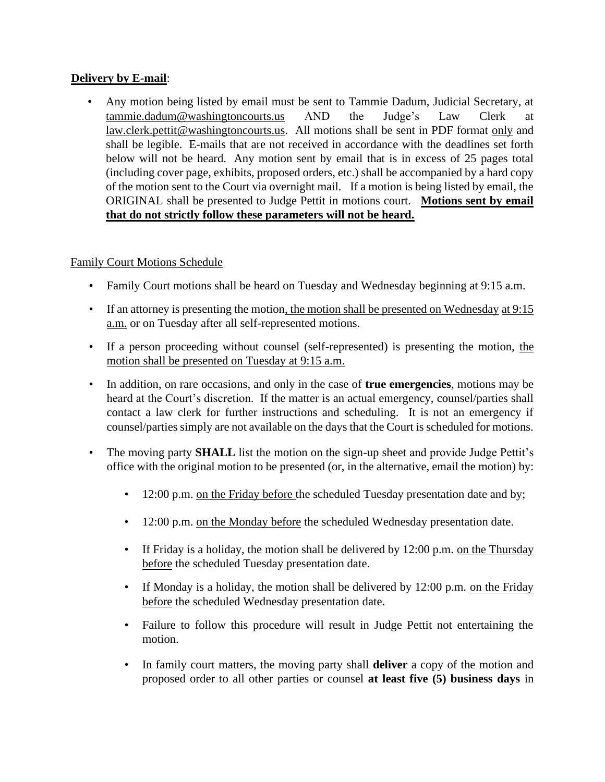#### **Delivery by E-mail**:

• Any motion being listed by email must be sent to Tammie Dadum, Judicial Secretary, at [tammie.dadum@washingtoncourts.us](mailto:tammie.dadum@washingtoncourts.us) AND the Judge's Law Clerk at law.clerk.pettit@washingtoncourts.us. All motions shall be sent in PDF format only and shall be legible. E-mails that are not received in accordance with the deadlines set forth below will not be heard. Any motion sent by email that is in excess of 25 pages total (including cover page, exhibits, proposed orders, etc.) shall be accompanied by a hard copy of the motion sent to the Court via overnight mail. If a motion is being listed by email, the ORIGINAL shall be presented to Judge Pettit in motions court. **Motions sent by email that do not strictly follow these parameters will not be heard.**

#### Family Court Motions Schedule

- Family Court motions shall be heard on Tuesday and Wednesday beginning at 9:15 a.m.
- If an attorney is presenting the motion, the motion shall be presented on Wednesday at 9:15 a.m. or on Tuesday after all self-represented motions.
- If a person proceeding without counsel (self-represented) is presenting the motion, the motion shall be presented on Tuesday at 9:15 a.m.
- In addition, on rare occasions, and only in the case of **true emergencies**, motions may be heard at the Court's discretion. If the matter is an actual emergency, counsel/parties shall contact a law clerk for further instructions and scheduling. It is not an emergency if counsel/parties simply are not available on the days that the Court is scheduled for motions.
- The moving party **SHALL** list the motion on the sign-up sheet and provide Judge Pettit's office with the original motion to be presented (or, in the alternative, email the motion) by:
	- 12:00 p.m. on the Friday before the scheduled Tuesday presentation date and by;
	- 12:00 p.m. on the Monday before the scheduled Wednesday presentation date.
	- If Friday is a holiday, the motion shall be delivered by 12:00 p.m. on the Thursday before the scheduled Tuesday presentation date.
	- If Monday is a holiday, the motion shall be delivered by 12:00 p.m. on the Friday before the scheduled Wednesday presentation date.
	- Failure to follow this procedure will result in Judge Pettit not entertaining the motion.
	- In family court matters, the moving party shall **deliver** a copy of the motion and proposed order to all other parties or counsel **at least five (5) business days** in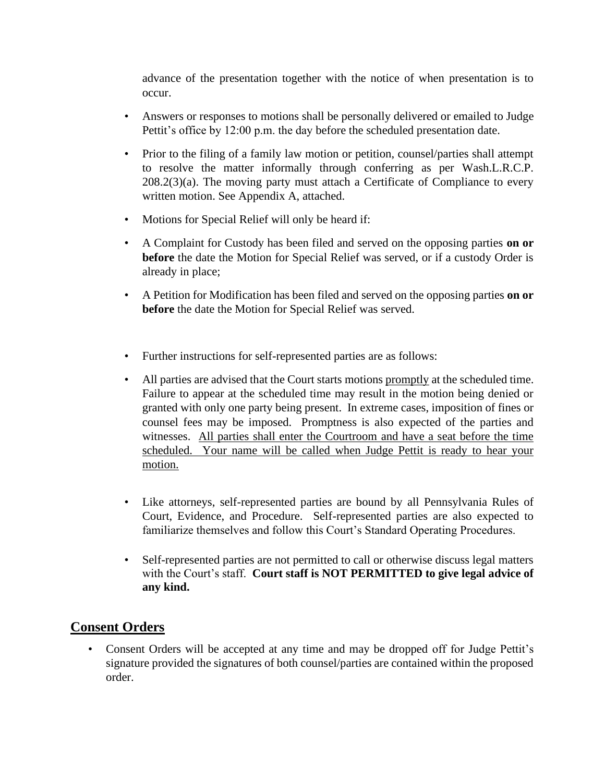advance of the presentation together with the notice of when presentation is to occur.

- Answers or responses to motions shall be personally delivered or emailed to Judge Pettit's office by 12:00 p.m. the day before the scheduled presentation date.
- Prior to the filing of a family law motion or petition, counsel/parties shall attempt to resolve the matter informally through conferring as per Wash.L.R.C.P. 208.2(3)(a). The moving party must attach a Certificate of Compliance to every written motion. See Appendix A, attached.
- Motions for Special Relief will only be heard if:
- A Complaint for Custody has been filed and served on the opposing parties **on or before** the date the Motion for Special Relief was served, or if a custody Order is already in place;
- A Petition for Modification has been filed and served on the opposing parties **on or before** the date the Motion for Special Relief was served.
- Further instructions for self-represented parties are as follows:
- All parties are advised that the Court starts motions promptly at the scheduled time. Failure to appear at the scheduled time may result in the motion being denied or granted with only one party being present. In extreme cases, imposition of fines or counsel fees may be imposed. Promptness is also expected of the parties and witnesses. All parties shall enter the Courtroom and have a seat before the time scheduled. Your name will be called when Judge Pettit is ready to hear your motion.
- Like attorneys, self-represented parties are bound by all Pennsylvania Rules of Court, Evidence, and Procedure. Self-represented parties are also expected to familiarize themselves and follow this Court's Standard Operating Procedures.
- Self-represented parties are not permitted to call or otherwise discuss legal matters with the Court's staff. **Court staff is NOT PERMITTED to give legal advice of any kind.**

# **Consent Orders**

• Consent Orders will be accepted at any time and may be dropped off for Judge Pettit's signature provided the signatures of both counsel/parties are contained within the proposed order.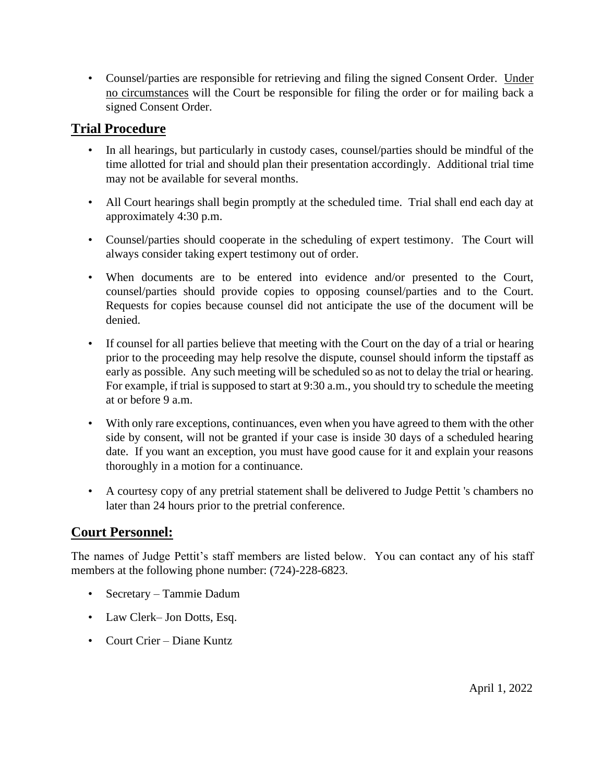• Counsel/parties are responsible for retrieving and filing the signed Consent Order. Under no circumstances will the Court be responsible for filing the order or for mailing back a signed Consent Order.

# **Trial Procedure**

- In all hearings, but particularly in custody cases, counsel/parties should be mindful of the time allotted for trial and should plan their presentation accordingly. Additional trial time may not be available for several months.
- All Court hearings shall begin promptly at the scheduled time. Trial shall end each day at approximately 4:30 p.m.
- Counsel/parties should cooperate in the scheduling of expert testimony. The Court will always consider taking expert testimony out of order.
- When documents are to be entered into evidence and/or presented to the Court, counsel/parties should provide copies to opposing counsel/parties and to the Court. Requests for copies because counsel did not anticipate the use of the document will be denied.
- If counsel for all parties believe that meeting with the Court on the day of a trial or hearing prior to the proceeding may help resolve the dispute, counsel should inform the tipstaff as early as possible. Any such meeting will be scheduled so as not to delay the trial or hearing. For example, if trial is supposed to start at 9:30 a.m., you should try to schedule the meeting at or before 9 a.m.
- With only rare exceptions, continuances, even when you have agreed to them with the other side by consent, will not be granted if your case is inside 30 days of a scheduled hearing date. If you want an exception, you must have good cause for it and explain your reasons thoroughly in a motion for a continuance.
- A courtesy copy of any pretrial statement shall be delivered to Judge Pettit 's chambers no later than 24 hours prior to the pretrial conference.

# **Court Personnel:**

The names of Judge Pettit's staff members are listed below. You can contact any of his staff members at the following phone number: (724)-228-6823.

- Secretary Tammie Dadum
- Law Clerk– Jon Dotts, Esq.
- Court Crier Diane Kuntz